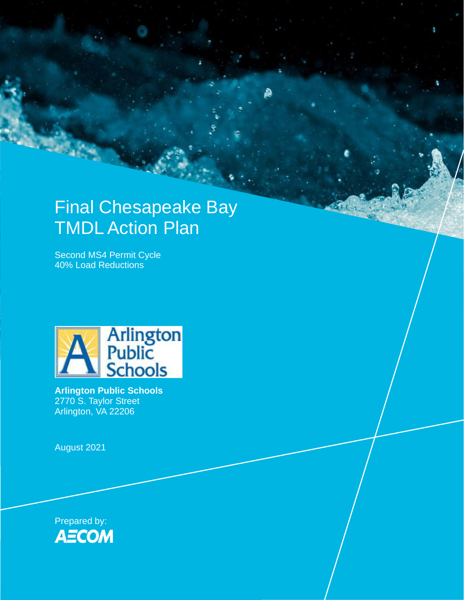# Final Chesapeake Bay TMDL Action Plan

Second MS4 Permit Cycle 40% Load Reductions



**Arlington Public Schools** 2770 S. Taylor Street Arlington, VA 22206

August 2021

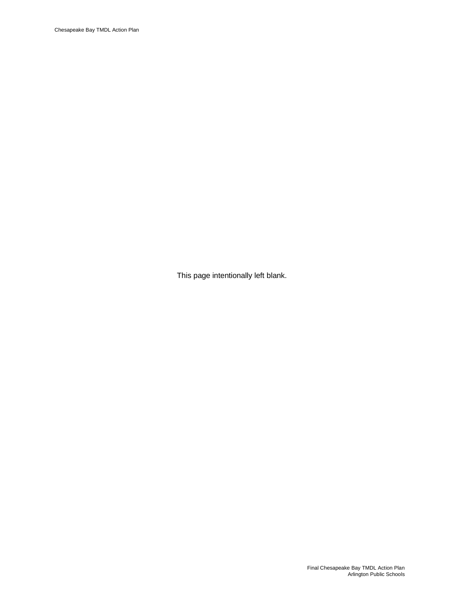Chesapeake Bay TMDL Action Plan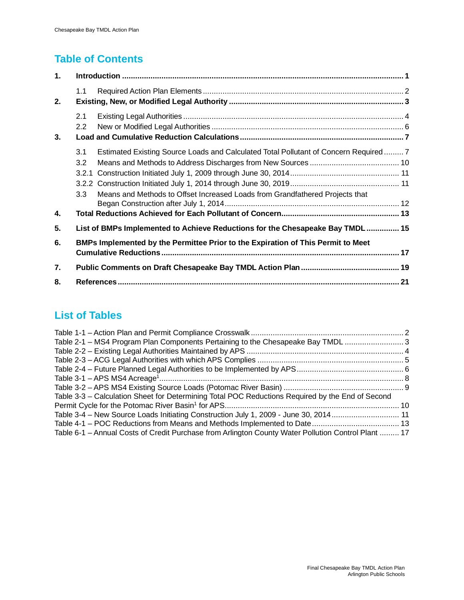### **Table of Contents**

| 1. |                                                                                                                                                                                                   |  |  |
|----|---------------------------------------------------------------------------------------------------------------------------------------------------------------------------------------------------|--|--|
| 2. | 1.1                                                                                                                                                                                               |  |  |
| 3. | 2.1<br>2.2                                                                                                                                                                                        |  |  |
|    | Estimated Existing Source Loads and Calculated Total Pollutant of Concern Required7<br>3.1<br>3.2<br>3.2.1<br>Means and Methods to Offset Increased Loads from Grandfathered Projects that<br>3.3 |  |  |
| 4. |                                                                                                                                                                                                   |  |  |
| 5. | List of BMPs Implemented to Achieve Reductions for the Chesapeake Bay TMDL 15                                                                                                                     |  |  |
| 6. | BMPs Implemented by the Permittee Prior to the Expiration of This Permit to Meet                                                                                                                  |  |  |
| 7. |                                                                                                                                                                                                   |  |  |
| 8. |                                                                                                                                                                                                   |  |  |

## **List of Tables**

| Table 2-1 – MS4 Program Plan Components Pertaining to the Chesapeake Bay TMDL 3                     |  |
|-----------------------------------------------------------------------------------------------------|--|
|                                                                                                     |  |
|                                                                                                     |  |
|                                                                                                     |  |
|                                                                                                     |  |
|                                                                                                     |  |
| Table 3-3 – Calculation Sheet for Determining Total POC Reductions Required by the End of Second    |  |
|                                                                                                     |  |
| Table 3-4 – New Source Loads Initiating Construction July 1, 2009 - June 30, 2014 11                |  |
|                                                                                                     |  |
| Table 6-1 - Annual Costs of Credit Purchase from Arlington County Water Pollution Control Plant  17 |  |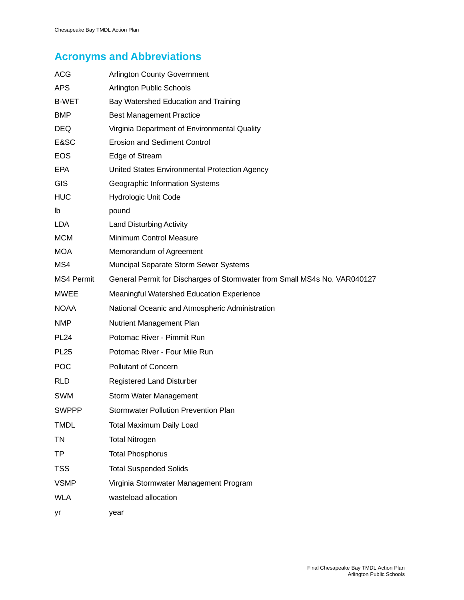## **Acronyms and Abbreviations**

| <b>ACG</b>   | <b>Arlington County Government</b>                                        |
|--------------|---------------------------------------------------------------------------|
| APS          | Arlington Public Schools                                                  |
| <b>B-WET</b> | Bay Watershed Education and Training                                      |
| <b>BMP</b>   | <b>Best Management Practice</b>                                           |
| <b>DEQ</b>   | Virginia Department of Environmental Quality                              |
| E&SC         | <b>Erosion and Sediment Control</b>                                       |
| <b>EOS</b>   | Edge of Stream                                                            |
| <b>EPA</b>   | United States Environmental Protection Agency                             |
| <b>GIS</b>   | Geographic Information Systems                                            |
| <b>HUC</b>   | <b>Hydrologic Unit Code</b>                                               |
| lb           | pound                                                                     |
| LDA.         | <b>Land Disturbing Activity</b>                                           |
| <b>MCM</b>   | <b>Minimum Control Measure</b>                                            |
| <b>MOA</b>   | Memorandum of Agreement                                                   |
| MS4          | Muncipal Separate Storm Sewer Systems                                     |
| MS4 Permit   | General Permit for Discharges of Stormwater from Small MS4s No. VAR040127 |
| <b>MWEE</b>  | <b>Meaningful Watershed Education Experience</b>                          |
| <b>NOAA</b>  | National Oceanic and Atmospheric Administration                           |
| <b>NMP</b>   | <b>Nutrient Management Plan</b>                                           |
| <b>PL24</b>  | Potomac River - Pimmit Run                                                |
| <b>PL25</b>  | Potomac River - Four Mile Run                                             |
| <b>POC</b>   | <b>Pollutant of Concern</b>                                               |
| <b>RLD</b>   | <b>Registered Land Disturber</b>                                          |
| <b>SWM</b>   | Storm Water Management                                                    |
| <b>SWPPP</b> | <b>Stormwater Pollution Prevention Plan</b>                               |
| <b>TMDL</b>  | <b>Total Maximum Daily Load</b>                                           |
| TN           | <b>Total Nitrogen</b>                                                     |
| TP           | <b>Total Phosphorus</b>                                                   |
| <b>TSS</b>   | <b>Total Suspended Solids</b>                                             |
| <b>VSMP</b>  | Virginia Stormwater Management Program                                    |
| <b>WLA</b>   | wasteload allocation                                                      |
| yr           | year                                                                      |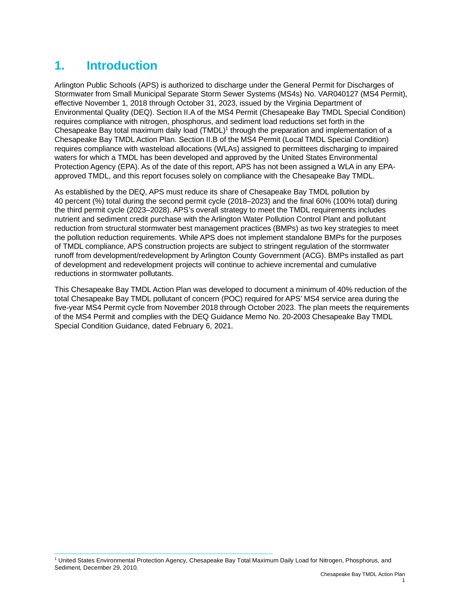## **1. Introduction**

Arlington Public Schools (APS) is authorized to discharge under the General Permit for Discharges of Stormwater from Small Municipal Separate Storm Sewer Systems (MS4s) No. VAR040127 (MS4 Permit), effective November 1, 2018 through October 31, 2023, issued by the Virginia Department of Environmental Quality (DEQ). Section II.A of the MS4 Permit (Chesapeake Bay TMDL Special Condition) requires compliance with nitrogen, phosphorus, and sediment load reductions set forth in the Chesapeake Bay total maximum daily load (TMDL)<sup>1</sup> through the preparation and implementation of a Chesapeake Bay TMDL Action Plan. Section II.B of the MS4 Permit (Local TMDL Special Condition) requires compliance with wasteload allocations (WLAs) assigned to permittees discharging to impaired waters for which a TMDL has been developed and approved by the United States Environmental Protection Agency (EPA). As of the date of this report, APS has not been assigned a WLA in any EPAapproved TMDL, and this report focuses solely on compliance with the Chesapeake Bay TMDL.

As established by the DEQ, APS must reduce its share of Chesapeake Bay TMDL pollution by 40 percent (%) total during the second permit cycle (2018–2023) and the final 60% (100% total) during the third permit cycle (2023–2028). APS's overall strategy to meet the TMDL requirements includes nutrient and sediment credit purchase with the Arlington Water Pollution Control Plant and pollutant reduction from structural stormwater best management practices (BMPs) as two key strategies to meet the pollution reduction requirements. While APS does not implement standalone BMPs for the purposes of TMDL compliance, APS construction projects are subject to stringent regulation of the stormwater runoff from development/redevelopment by Arlington County Government (ACG). BMPs installed as part of development and redevelopment projects will continue to achieve incremental and cumulative reductions in stormwater pollutants.

This Chesapeake Bay TMDL Action Plan was developed to document a minimum of 40% reduction of the total Chesapeake Bay TMDL pollutant of concern (POC) required for APS' MS4 service area during the five-year MS4 Permit cycle from November 2018 through October 2023. The plan meets the requirements of the MS4 Permit and complies with the DEQ Guidance Memo No. 20-2003 Chesapeake Bay TMDL Special Condition Guidance, dated February 6, 2021.

<sup>1</sup> United States Environmental Protection Agency, Chesapeake Bay Total Maximum Daily Load for Nitrogen, Phosphorus, and Sediment, December 29, 2010.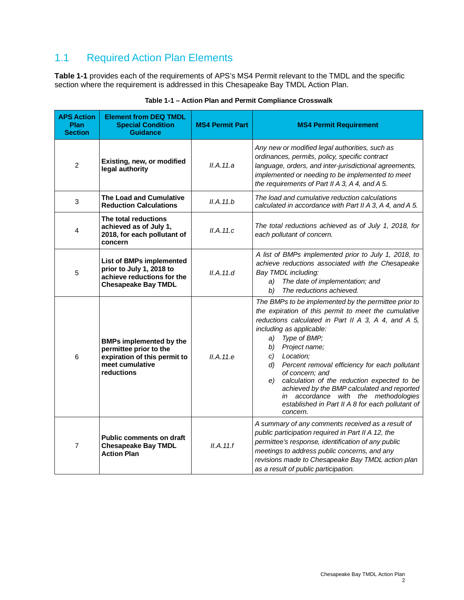## 1.1 Required Action Plan Elements

**Table 1-1** provides each of the requirements of APS's MS4 Permit relevant to the TMDL and the specific section where the requirement is addressed in this Chesapeake Bay TMDL Action Plan.

| <b>APS Action</b><br><b>Plan</b><br><b>Section</b> | <b>Element from DEQ TMDL</b><br><b>Special Condition</b><br><b>Guidance</b>                                               | <b>MS4 Permit Part</b> | <b>MS4 Permit Requirement</b>                                                                                                                                                                                                                                                                                                                                                                                                                                                                                                                         |  |
|----------------------------------------------------|---------------------------------------------------------------------------------------------------------------------------|------------------------|-------------------------------------------------------------------------------------------------------------------------------------------------------------------------------------------------------------------------------------------------------------------------------------------------------------------------------------------------------------------------------------------------------------------------------------------------------------------------------------------------------------------------------------------------------|--|
| $\overline{2}$                                     | Existing, new, or modified<br>legal authority                                                                             | II.A.11.a              | Any new or modified legal authorities, such as<br>ordinances, permits, policy, specific contract<br>language, orders, and inter-jurisdictional agreements,<br>implemented or needing to be implemented to meet<br>the requirements of Part II A 3, A 4, and A 5.                                                                                                                                                                                                                                                                                      |  |
| 3                                                  | <b>The Load and Cumulative</b><br><b>Reduction Calculations</b>                                                           | II.A.11.b              | The load and cumulative reduction calculations<br>calculated in accordance with Part II A 3, A 4, and A 5.                                                                                                                                                                                                                                                                                                                                                                                                                                            |  |
| 4                                                  | The total reductions<br>achieved as of July 1,<br>2018, for each pollutant of<br>concern                                  | II.A.11.c              | The total reductions achieved as of July 1, 2018, for<br>each pollutant of concern.                                                                                                                                                                                                                                                                                                                                                                                                                                                                   |  |
| 5                                                  | List of BMPs implemented<br>prior to July 1, 2018 to<br>achieve reductions for the<br><b>Chesapeake Bay TMDL</b>          | II.A.11.d              | A list of BMPs implemented prior to July 1, 2018, to<br>achieve reductions associated with the Chesapeake<br>Bay TMDL including:<br>The date of implementation; and<br>a)<br>The reductions achieved.<br>b)                                                                                                                                                                                                                                                                                                                                           |  |
| 6                                                  | <b>BMPs implemented by the</b><br>permittee prior to the<br>expiration of this permit to<br>meet cumulative<br>reductions | II.A.11.e              | The BMPs to be implemented by the permittee prior to<br>the expiration of this permit to meet the cumulative<br>reductions calculated in Part II A 3, A 4, and A 5,<br>including as applicable:<br>Type of BMP;<br>a)<br>Project name;<br>b)<br>Location;<br>C)<br>d)<br>Percent removal efficiency for each pollutant<br>of concern; and<br>calculation of the reduction expected to be<br>e)<br>achieved by the BMP calculated and reported<br>in accordance with the methodologies<br>established in Part II A 8 for each pollutant of<br>concern. |  |
| 7                                                  | <b>Public comments on draft</b><br><b>Chesapeake Bay TMDL</b><br><b>Action Plan</b>                                       | II.A.11.f              | A summary of any comments received as a result of<br>public participation required in Part II A 12, the<br>permittee's response, identification of any public<br>meetings to address public concerns, and any<br>revisions made to Chesapeake Bay TMDL action plan<br>as a result of public participation.                                                                                                                                                                                                                                            |  |

**Table 1-1 – Action Plan and Permit Compliance Crosswalk**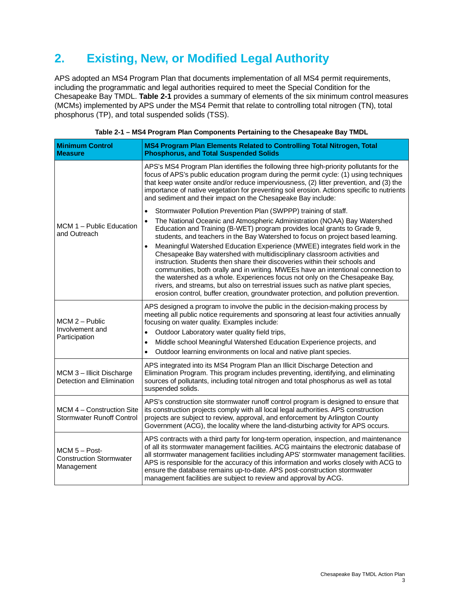## **2. Existing, New, or Modified Legal Authority**

APS adopted an MS4 Program Plan that documents implementation of all MS4 permit requirements, including the programmatic and legal authorities required to meet the Special Condition for the Chesapeake Bay TMDL. **Table 2-1** provides a summary of elements of the six minimum control measures (MCMs) implemented by APS under the MS4 Permit that relate to controlling total nitrogen (TN), total phosphorus (TP), and total suspended solids (TSS).

| <b>Minimum Control</b><br><b>Measure</b>                        | MS4 Program Plan Elements Related to Controlling Total Nitrogen, Total<br><b>Phosphorus, and Total Suspended Solids</b>                                                                                                                                                                                                                                                                                                                                                                                                                                                                                                                                                                                                                                                                                                                                                                                                                      |  |  |  |
|-----------------------------------------------------------------|----------------------------------------------------------------------------------------------------------------------------------------------------------------------------------------------------------------------------------------------------------------------------------------------------------------------------------------------------------------------------------------------------------------------------------------------------------------------------------------------------------------------------------------------------------------------------------------------------------------------------------------------------------------------------------------------------------------------------------------------------------------------------------------------------------------------------------------------------------------------------------------------------------------------------------------------|--|--|--|
|                                                                 | APS's MS4 Program Plan identifies the following three high-priority pollutants for the<br>focus of APS's public education program during the permit cycle: (1) using techniques<br>that keep water onsite and/or reduce imperviousness, (2) litter prevention, and (3) the<br>importance of native vegetation for preventing soil erosion. Actions specific to nutrients<br>and sediment and their impact on the Chesapeake Bay include:                                                                                                                                                                                                                                                                                                                                                                                                                                                                                                     |  |  |  |
| MCM 1 - Public Education<br>and Outreach                        | Stormwater Pollution Prevention Plan (SWPPP) training of staff.<br>$\bullet$<br>The National Oceanic and Atmospheric Administration (NOAA) Bay Watershed<br>$\bullet$<br>Education and Training (B-WET) program provides local grants to Grade 9,<br>students, and teachers in the Bay Watershed to focus on project based learning.<br>Meaningful Watershed Education Experience (MWEE) integrates field work in the<br>$\bullet$<br>Chesapeake Bay watershed with multidisciplinary classroom activities and<br>instruction. Students then share their discoveries within their schools and<br>communities, both orally and in writing. MWEEs have an intentional connection to<br>the watershed as a whole. Experiences focus not only on the Chesapeake Bay,<br>rivers, and streams, but also on terrestrial issues such as native plant species,<br>erosion control, buffer creation, groundwater protection, and pollution prevention. |  |  |  |
| MCM 2 - Public<br>Involvement and<br>Participation              | APS designed a program to involve the public in the decision-making process by<br>meeting all public notice requirements and sponsoring at least four activities annually<br>focusing on water quality. Examples include:<br>Outdoor Laboratory water quality field trips,<br>$\bullet$<br>Middle school Meaningful Watershed Education Experience projects, and<br>$\bullet$<br>Outdoor learning environments on local and native plant species.<br>$\bullet$                                                                                                                                                                                                                                                                                                                                                                                                                                                                               |  |  |  |
| MCM 3 - Illicit Discharge<br>Detection and Elimination          | APS integrated into its MS4 Program Plan an Illicit Discharge Detection and<br>Elimination Program. This program includes preventing, identifying, and eliminating<br>sources of pollutants, including total nitrogen and total phosphorus as well as total<br>suspended solids.                                                                                                                                                                                                                                                                                                                                                                                                                                                                                                                                                                                                                                                             |  |  |  |
| MCM 4 - Construction Site<br><b>Stormwater Runoff Control</b>   | APS's construction site stormwater runoff control program is designed to ensure that<br>its construction projects comply with all local legal authorities. APS construction<br>projects are subject to review, approval, and enforcement by Arlington County<br>Government (ACG), the locality where the land-disturbing activity for APS occurs.                                                                                                                                                                                                                                                                                                                                                                                                                                                                                                                                                                                            |  |  |  |
| $MCM$ 5 – Post-<br><b>Construction Stormwater</b><br>Management | APS contracts with a third party for long-term operation, inspection, and maintenance<br>of all its stormwater management facilities. ACG maintains the electronic database of<br>all stormwater management facilities including APS' stormwater management facilities.<br>APS is responsible for the accuracy of this information and works closely with ACG to<br>ensure the database remains up-to-date. APS post-construction stormwater<br>management facilities are subject to review and approval by ACG.                                                                                                                                                                                                                                                                                                                                                                                                                             |  |  |  |

| Table 2-1 – MS4 Program Plan Components Pertaining to the Chesapeake Bay TMDL |  |  |
|-------------------------------------------------------------------------------|--|--|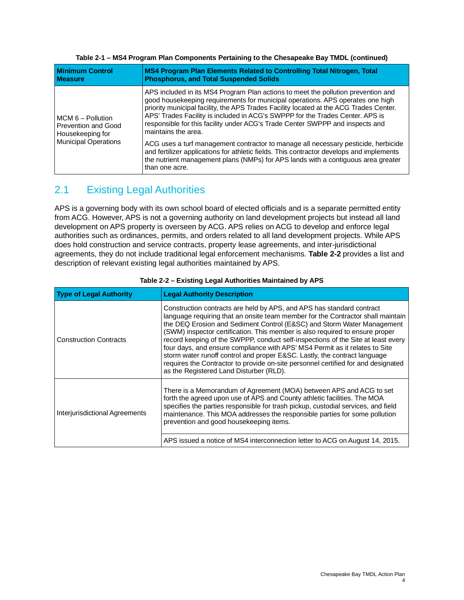#### **Table 2-1 – MS4 Program Plan Components Pertaining to the Chesapeake Bay TMDL (continued)**

| <b>Minimum Control</b><br>MS4 Program Plan Elements Related to Controlling Total Nitrogen, Total<br><b>Phosphorus, and Total Suspended Solids</b><br><b>Measure</b> |                                                                                                                                                                                                                                                                                                                                                                                                                                                                                                                                                                                                                                                                                                                                                 |  |  |
|---------------------------------------------------------------------------------------------------------------------------------------------------------------------|-------------------------------------------------------------------------------------------------------------------------------------------------------------------------------------------------------------------------------------------------------------------------------------------------------------------------------------------------------------------------------------------------------------------------------------------------------------------------------------------------------------------------------------------------------------------------------------------------------------------------------------------------------------------------------------------------------------------------------------------------|--|--|
| $MCM 6 -$ Pollution<br><b>Prevention and Good</b><br>Housekeeping for<br><b>Municipal Operations</b>                                                                | APS included in its MS4 Program Plan actions to meet the pollution prevention and<br>good housekeeping requirements for municipal operations. APS operates one high<br>priority municipal facility, the APS Trades Facility located at the ACG Trades Center.<br>APS' Trades Facility is included in ACG's SWPPP for the Trades Center. APS is<br>responsible for this facility under ACG's Trade Center SWPPP and inspects and<br>maintains the area.<br>ACG uses a turf management contractor to manage all necessary pesticide, herbicide<br>and fertilizer applications for athletic fields. This contractor develops and implements<br>the nutrient management plans (NMPs) for APS lands with a contiguous area greater<br>than one acre. |  |  |

### 2.1 Existing Legal Authorities

APS is a governing body with its own school board of elected officials and is a separate permitted entity from ACG. However, APS is not a governing authority on land development projects but instead all land development on APS property is overseen by ACG. APS relies on ACG to develop and enforce legal authorities such as ordinances, permits, and orders related to all land development projects. While APS does hold construction and service contracts, property lease agreements, and inter-jurisdictional agreements, they do not include traditional legal enforcement mechanisms. **Table 2-2** provides a list and description of relevant existing legal authorities maintained by APS.

| <b>Type of Legal Authority</b> | <b>Legal Authority Description</b>                                                                                                                                                                                                                                                                                                                                                                                                                                                                                                                                                                                                                                                                 |
|--------------------------------|----------------------------------------------------------------------------------------------------------------------------------------------------------------------------------------------------------------------------------------------------------------------------------------------------------------------------------------------------------------------------------------------------------------------------------------------------------------------------------------------------------------------------------------------------------------------------------------------------------------------------------------------------------------------------------------------------|
| <b>Construction Contracts</b>  | Construction contracts are held by APS, and APS has standard contract<br>language requiring that an onsite team member for the Contractor shall maintain<br>the DEQ Erosion and Sediment Control (E&SC) and Storm Water Management<br>(SWM) inspector certification. This member is also required to ensure proper<br>record keeping of the SWPPP, conduct self-inspections of the Site at least every<br>four days, and ensure compliance with APS' MS4 Permit as it relates to Site<br>storm water runoff control and proper E&SC. Lastly, the contract language<br>requires the Contractor to provide on-site personnel certified for and designated<br>as the Registered Land Disturber (RLD). |
| Interjurisdictional Agreements | There is a Memorandum of Agreement (MOA) between APS and ACG to set<br>forth the agreed upon use of APS and County athletic facilities. The MOA<br>specifies the parties responsible for trash pickup, custodial services, and field<br>maintenance. This MOA addresses the responsible parties for some pollution<br>prevention and good housekeeping items.                                                                                                                                                                                                                                                                                                                                      |
|                                | APS issued a notice of MS4 interconnection letter to ACG on August 14, 2015.                                                                                                                                                                                                                                                                                                                                                                                                                                                                                                                                                                                                                       |

#### **Table 2-2 – Existing Legal Authorities Maintained by APS**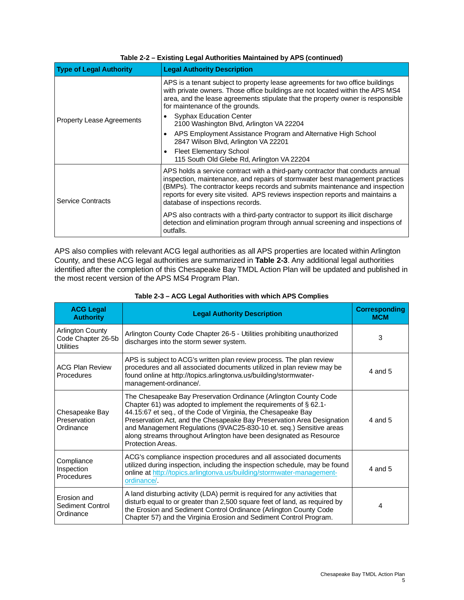| <b>Type of Legal Authority</b>   | <b>Legal Authority Description</b>                                                                                                                                                                                                                                                                                                                                   |  |  |
|----------------------------------|----------------------------------------------------------------------------------------------------------------------------------------------------------------------------------------------------------------------------------------------------------------------------------------------------------------------------------------------------------------------|--|--|
|                                  | APS is a tenant subject to property lease agreements for two office buildings<br>with private owners. Those office buildings are not located within the APS MS4<br>area, and the lease agreements stipulate that the property owner is responsible<br>for maintenance of the grounds.                                                                                |  |  |
| <b>Property Lease Agreements</b> | <b>Syphax Education Center</b><br>٠<br>2100 Washington Blvd, Arlington VA 22204                                                                                                                                                                                                                                                                                      |  |  |
|                                  | APS Employment Assistance Program and Alternative High School<br>٠<br>2847 Wilson Blvd, Arlington VA 22201                                                                                                                                                                                                                                                           |  |  |
|                                  | <b>Fleet Elementary School</b><br>$\bullet$<br>115 South Old Glebe Rd, Arlington VA 22204                                                                                                                                                                                                                                                                            |  |  |
| <b>Service Contracts</b>         | APS holds a service contract with a third-party contractor that conducts annual<br>inspection, maintenance, and repairs of stormwater best management practices<br>(BMPs). The contractor keeps records and submits maintenance and inspection<br>reports for every site visited. APS reviews inspection reports and maintains a<br>database of inspections records. |  |  |
|                                  | APS also contracts with a third-party contractor to support its illicit discharge<br>detection and elimination program through annual screening and inspections of<br>outfalls.                                                                                                                                                                                      |  |  |

**Table 2-2 – Existing Legal Authorities Maintained by APS (continued)**

APS also complies with relevant ACG legal authorities as all APS properties are located within Arlington County, and these ACG legal authorities are summarized in **Table 2-3**. Any additional legal authorities identified after the completion of this Chesapeake Bay TMDL Action Plan will be updated and published in the most recent version of the APS MS4 Program Plan.

| <b>ACG Legal</b><br><b>Authority</b>                | <b>Legal Authority Description</b>                                                                                                                                                                                                                                                                                                                                                                                                                    | <b>Corresponding</b><br><b>MCM</b> |
|-----------------------------------------------------|-------------------------------------------------------------------------------------------------------------------------------------------------------------------------------------------------------------------------------------------------------------------------------------------------------------------------------------------------------------------------------------------------------------------------------------------------------|------------------------------------|
| Arlington County<br>Code Chapter 26-5b<br>Utilities | Arlington County Code Chapter 26-5 - Utilities prohibiting unauthorized<br>discharges into the storm sewer system.                                                                                                                                                                                                                                                                                                                                    | 3                                  |
| <b>ACG Plan Review</b><br>Procedures                | APS is subject to ACG's written plan review process. The plan review<br>procedures and all associated documents utilized in plan review may be<br>found online at http://topics.arlingtonva.us/building/stormwater-<br>management-ordinance/.                                                                                                                                                                                                         | 4 and 5                            |
| Chesapeake Bay<br>Preservation<br>Ordinance         | The Chesapeake Bay Preservation Ordinance (Arlington County Code<br>Chapter 61) was adopted to implement the requirements of $\S$ 62.1-<br>44.15:67 et seq., of the Code of Virginia, the Chesapeake Bay<br>Preservation Act, and the Chesapeake Bay Preservation Area Designation<br>and Management Regulations (9VAC25-830-10 et. seq.) Sensitive areas<br>along streams throughout Arlington have been designated as Resource<br>Protection Areas. | $4$ and $5$                        |
| Compliance<br>Inspection<br>Procedures              | ACG's compliance inspection procedures and all associated documents<br>utilized during inspection, including the inspection schedule, may be found<br>online at http://topics.arlingtonva.us/building/stormwater-management-<br>ordinance/                                                                                                                                                                                                            | 4 and 5                            |
| Erosion and<br>Sediment Control<br>Ordinance        | A land disturbing activity (LDA) permit is required for any activities that<br>disturb equal to or greater than 2,500 square feet of land, as required by<br>the Erosion and Sediment Control Ordinance (Arlington County Code<br>Chapter 57) and the Virginia Erosion and Sediment Control Program.                                                                                                                                                  | 4                                  |

#### **Table 2-3 – ACG Legal Authorities with which APS Complies**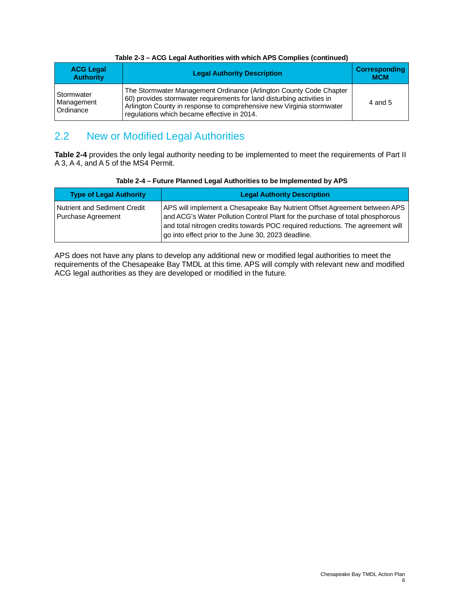| Table 2-3 - ACG Legal Authorities with which APS Complies (continued) |  |  |
|-----------------------------------------------------------------------|--|--|
|-----------------------------------------------------------------------|--|--|

| <b>ACG Legal</b><br><b>Authority</b>  | <b>Legal Authority Description</b>                                                                                                                                                                                                                                   | Corresponding<br><b>MCM</b> |
|---------------------------------------|----------------------------------------------------------------------------------------------------------------------------------------------------------------------------------------------------------------------------------------------------------------------|-----------------------------|
| Stormwater<br>Management<br>Ordinance | The Stormwater Management Ordinance (Arlington County Code Chapter<br>60) provides stormwater requirements for land disturbing activities in<br>Arlington County in response to comprehensive new Virginia stormwater<br>regulations which became effective in 2014. | 4 and 5                     |

### 2.2 New or Modified Legal Authorities

**Table 2-4** provides the only legal authority needing to be implemented to meet the requirements of Part II A 3, A 4, and A 5 of the MS4 Permit.

| <b>Type of Legal Authority</b>                     | <b>Legal Authority Description</b>                                                                                                                                                                                                                                                                  |
|----------------------------------------------------|-----------------------------------------------------------------------------------------------------------------------------------------------------------------------------------------------------------------------------------------------------------------------------------------------------|
| Nutrient and Sediment Credit<br>Purchase Agreement | APS will implement a Chesapeake Bay Nutrient Offset Agreement between APS<br>and ACG's Water Pollution Control Plant for the purchase of total phosphorous<br>and total nitrogen credits towards POC required reductions. The agreement will<br>go into effect prior to the June 30, 2023 deadline. |

**Table 2-4 – Future Planned Legal Authorities to be Implemented by APS**

APS does not have any plans to develop any additional new or modified legal authorities to meet the requirements of the Chesapeake Bay TMDL at this time. APS will comply with relevant new and modified ACG legal authorities as they are developed or modified in the future.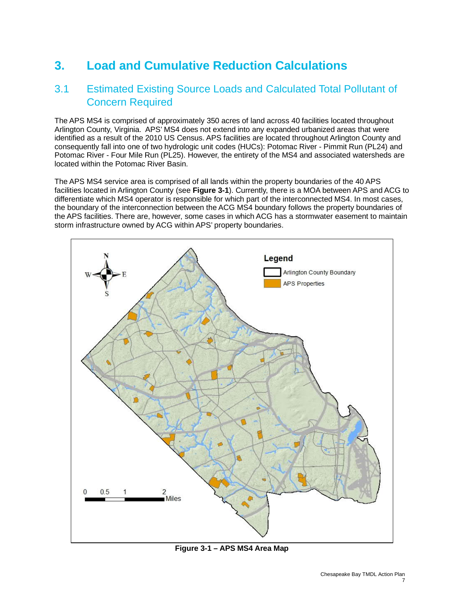## **3. Load and Cumulative Reduction Calculations**

### 3.1 Estimated Existing Source Loads and Calculated Total Pollutant of Concern Required

The APS MS4 is comprised of approximately 350 acres of land across 40 facilities located throughout Arlington County, Virginia. APS' MS4 does not extend into any expanded urbanized areas that were identified as a result of the 2010 US Census. APS facilities are located throughout Arlington County and consequently fall into one of two hydrologic unit codes (HUCs): Potomac River - Pimmit Run (PL24) and Potomac River - Four Mile Run (PL25). However, the entirety of the MS4 and associated watersheds are located within the Potomac River Basin.

The APS MS4 service area is comprised of all lands within the property boundaries of the 40 APS facilities located in Arlington County (see **Figure 3-1**). Currently, there is a MOA between APS and ACG to differentiate which MS4 operator is responsible for which part of the interconnected MS4. In most cases, the boundary of the interconnection between the ACG MS4 boundary follows the property boundaries of the APS facilities. There are, however, some cases in which ACG has a stormwater easement to maintain storm infrastructure owned by ACG within APS' property boundaries.



**Figure 3-1 – APS MS4 Area Map**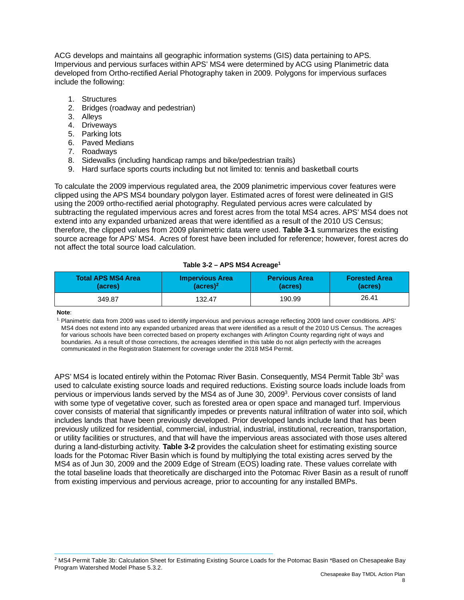ACG develops and maintains all geographic information systems (GIS) data pertaining to APS. Impervious and pervious surfaces within APS' MS4 were determined by ACG using Planimetric data developed from Ortho-rectified Aerial Photography taken in 2009. Polygons for impervious surfaces include the following:

- 1. Structures
- 2. Bridges (roadway and pedestrian)
- 3. Alleys
- 4. Driveways
- 5. Parking lots
- 6. Paved Medians
- 7. Roadways
- 8. Sidewalks (including handicap ramps and bike/pedestrian trails)
- 9. Hard surface sports courts including but not limited to: tennis and basketball courts

To calculate the 2009 impervious regulated area, the 2009 planimetric impervious cover features were clipped using the APS MS4 boundary polygon layer. Estimated acres of forest were delineated in GIS using the 2009 ortho-rectified aerial photography. Regulated pervious acres were calculated by subtracting the regulated impervious acres and forest acres from the total MS4 acres. APS' MS4 does not extend into any expanded urbanized areas that were identified as a result of the 2010 US Census; therefore, the clipped values from 2009 planimetric data were used. **Table 3-1** summarizes the existing source acreage for APS' MS4. Acres of forest have been included for reference; however, forest acres do not affect the total source load calculation.

#### **Table 3-2 – APS MS4 Acreage<sup>1</sup>**

| <b>Total APS MS4 Area</b> | <b>Impervious Area</b> | <b>Pervious Area</b> | <b>Forested Area</b> |
|---------------------------|------------------------|----------------------|----------------------|
| (acres)                   | $(acres)^2$            | (acres)              | (acres)              |
| 349.87                    | 132.47                 | 190.99               | 26.41                |

**Note**:

1. Planimetric data from 2009 was used to identify impervious and pervious acreage reflecting 2009 land cover conditions. APS' MS4 does not extend into any expanded urbanized areas that were identified as a result of the 2010 US Census. The acreages for various schools have been corrected based on property exchanges with Arlington County regarding right of ways and boundaries. As a result of those corrections, the acreages identified in this table do not align perfectly with the acreages communicated in the Registration Statement for coverage under the 2018 MS4 Permit.

APS' MS4 is located entirely within the Potomac River Basin. Consequently, MS4 Permit Table 3b<sup>2</sup> was used to calculate existing source loads and required reductions. Existing source loads include loads from pervious or impervious lands served by the MS4 as of June 30, 2009<sup>3</sup>. Pervious cover consists of land with some type of vegetative cover, such as forested area or open space and managed turf. Impervious cover consists of material that significantly impedes or prevents natural infiltration of water into soil, which includes lands that have been previously developed. Prior developed lands include land that has been previously utilized for residential, commercial, industrial, industrial, institutional, recreation, transportation, or utility facilities or structures, and that will have the impervious areas associated with those uses altered during a land-disturbing activity. **Table 3-2** provides the calculation sheet for estimating existing source loads for the Potomac River Basin which is found by multiplying the total existing acres served by the MS4 as of Jun 30, 2009 and the 2009 Edge of Stream (EOS) loading rate. These values correlate with the total baseline loads that theoretically are discharged into the Potomac River Basin as a result of runoff from existing impervious and pervious acreage, prior to accounting for any installed BMPs.

<sup>&</sup>lt;sup>2</sup> MS4 Permit Table 3b: Calculation Sheet for Estimating Existing Source Loads for the Potomac Basin \*Based on Chesapeake Bay Program Watershed Model Phase 5.3.2.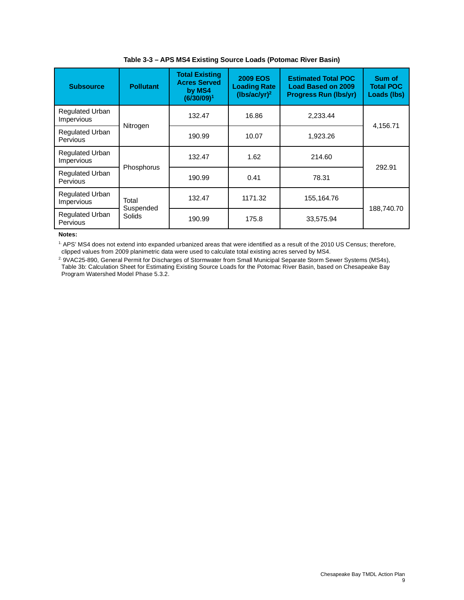| <b>Subsource</b>                                          | <b>Pollutant</b> | <b>Total Existing</b><br><b>Acres Served</b><br>by MS4<br>$(6/30/09)^1$ | <b>2009 EOS</b><br><b>Loading Rate</b><br>$(lbs/ac/yr)^2$ | <b>Estimated Total POC</b><br><b>Load Based on 2009</b><br><b>Progress Run (lbs/yr)</b> | Sum of<br><b>Total POC</b><br>Loads (lbs) |  |
|-----------------------------------------------------------|------------------|-------------------------------------------------------------------------|-----------------------------------------------------------|-----------------------------------------------------------------------------------------|-------------------------------------------|--|
| Regulated Urban<br>Impervious                             |                  | 132.47                                                                  | 16.86                                                     | 2,233.44                                                                                |                                           |  |
| Regulated Urban<br>Pervious                               | Nitrogen         | 190.99                                                                  | 10.07                                                     | 1,923.26                                                                                | 4,156.71                                  |  |
| Regulated Urban<br>Impervious                             |                  | 132.47                                                                  | 1.62                                                      | 214.60                                                                                  | 292.91                                    |  |
| <b>Regulated Urban</b><br><b>Pervious</b>                 | Phosphorus       | 190.99                                                                  | 0.41                                                      | 78.31                                                                                   |                                           |  |
| <b>Regulated Urban</b><br>Impervious                      | Total            | 132.47                                                                  | 1171.32                                                   | 155,164.76                                                                              |                                           |  |
| Suspended<br>Regulated Urban<br><b>Solids</b><br>Pervious |                  | 190.99                                                                  | 175.8                                                     | 33,575.94                                                                               | 188,740.70                                |  |

**Table 3-3 – APS MS4 Existing Source Loads (Potomac River Basin)**

**Notes:**

 $1.$  APS' MS4 does not extend into expanded urbanized areas that were identified as a result of the 2010 US Census; therefore, clipped values from 2009 planimetric data were used to calculate total existing acres served by MS4.

<sup>2.</sup> 9VAC25-890, General Permit for Discharges of Stormwater from Small Municipal Separate Storm Sewer Systems (MS4s), Table 3b: Calculation Sheet for Estimating Existing Source Loads for the Potomac River Basin, based on Chesapeake Bay Program Watershed Model Phase 5.3.2.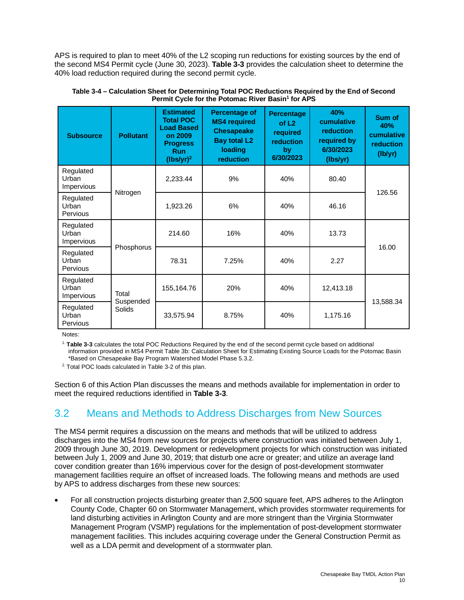APS is required to plan to meet 40% of the L2 scoping run reductions for existing sources by the end of the second MS4 Permit cycle (June 30, 2023). **Table 3-3** provides the calculation sheet to determine the 40% load reduction required during the second permit cycle.

| <b>Subsource</b>                                      | <b>Pollutant</b> | <b>Estimated</b><br><b>Total POC</b><br><b>Load Based</b><br>on 2009<br><b>Progress</b><br><b>Run</b><br>$(lbs/yr)^2$ | <b>Percentage of</b><br><b>MS4 required</b><br><b>Chesapeake</b><br><b>Bay total L2</b><br><b>loading</b><br><b>reduction</b> | <b>Percentage</b><br>of L2<br>required<br>reduction<br>by<br>6/30/2023 | 40%<br>cumulative<br>reduction<br>required by<br>6/30/2023<br>(lbs/yr) | Sum of<br>40%<br>cumulative<br>reduction<br>(lb/yr) |  |
|-------------------------------------------------------|------------------|-----------------------------------------------------------------------------------------------------------------------|-------------------------------------------------------------------------------------------------------------------------------|------------------------------------------------------------------------|------------------------------------------------------------------------|-----------------------------------------------------|--|
| Regulated<br>Urban<br>Impervious                      |                  | 2,233.44                                                                                                              | 9%                                                                                                                            | 40%                                                                    | 80.40                                                                  |                                                     |  |
| Regulated<br>Urban<br>Pervious                        | Nitrogen         | 1,923.26                                                                                                              | 6%                                                                                                                            | 40%                                                                    | 46.16                                                                  | 126.56                                              |  |
| Regulated<br>Urban<br>Impervious                      |                  | 214.60                                                                                                                | 16%                                                                                                                           | 40%                                                                    | 13.73                                                                  | 16.00                                               |  |
| Regulated<br>Urban<br>Pervious                        | Phosphorus       | 78.31                                                                                                                 | 7.25%                                                                                                                         | 40%                                                                    | 2.27                                                                   |                                                     |  |
| Regulated<br>Urban<br><b>Impervious</b>               | Total            | 155,164.76                                                                                                            | 20%                                                                                                                           | 40%                                                                    | 12,413.18                                                              |                                                     |  |
| Suspended<br>Regulated<br>Solids<br>Urban<br>Pervious |                  | 33,575.94                                                                                                             | 8.75%                                                                                                                         | 40%                                                                    | 1,175.16                                                               | 13,588.34                                           |  |

| Table 3-4 – Calculation Sheet for Determining Total POC Reductions Required by the End of Second |
|--------------------------------------------------------------------------------------------------|
| Permit Cycle for the Potomac River Basin <sup>1</sup> for APS                                    |

Notes:

1. **Table 3-3** calculates the total POC Reductions Required by the end of the second permit cycle based on additional information provided in MS4 Permit Table 3b: Calculation Sheet for Estimating Existing Source Loads for the Potomac Basin \*Based on Chesapeake Bay Program Watershed Model Phase 5.3.2.

<sup>2.</sup> Total POC loads calculated in Table 3-2 of this plan.

Section 6 of this Action Plan discusses the means and methods available for implementation in order to meet the required reductions identified in **Table 3-3**.

### 3.2 Means and Methods to Address Discharges from New Sources

The MS4 permit requires a discussion on the means and methods that will be utilized to address discharges into the MS4 from new sources for projects where construction was initiated between July 1, 2009 through June 30, 2019. Development or redevelopment projects for which construction was initiated between July 1, 2009 and June 30, 2019; that disturb one acre or greater; and utilize an average land cover condition greater than 16% impervious cover for the design of post-development stormwater management facilities require an offset of increased loads. The following means and methods are used by APS to address discharges from these new sources:

 For all construction projects disturbing greater than 2,500 square feet, APS adheres to the Arlington County Code, Chapter 60 on Stormwater Management, which provides stormwater requirements for land disturbing activities in Arlington County and are more stringent than the Virginia Stormwater Management Program (VSMP) regulations for the implementation of post-development stormwater management facilities. This includes acquiring coverage under the General Construction Permit as well as a LDA permit and development of a stormwater plan.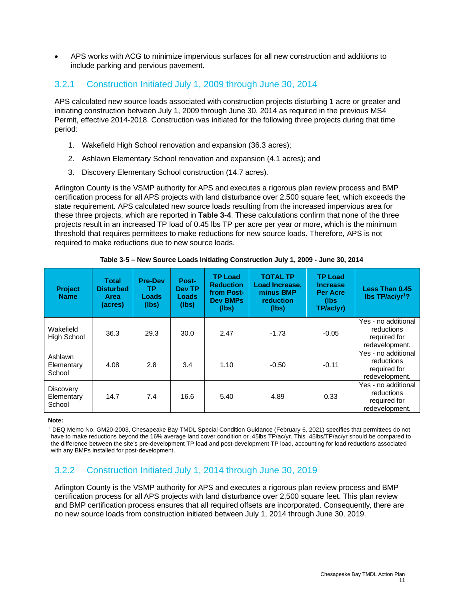APS works with ACG to minimize impervious surfaces for all new construction and additions to include parking and pervious pavement.

#### 3.2.1 Construction Initiated July 1, 2009 through June 30, 2014

APS calculated new source loads associated with construction projects disturbing 1 acre or greater and initiating construction between July 1, 2009 through June 30, 2014 as required in the previous MS4 Permit, effective 2014-2018. Construction was initiated for the following three projects during that time period:

- 1. Wakefield High School renovation and expansion (36.3 acres);
- 2. Ashlawn Elementary School renovation and expansion (4.1 acres); and
- 3. Discovery Elementary School construction (14.7 acres).

Arlington County is the VSMP authority for APS and executes a rigorous plan review process and BMP certification process for all APS projects with land disturbance over 2,500 square feet, which exceeds the state requirement. APS calculated new source loads resulting from the increased impervious area for these three projects, which are reported in **Table 3-4**. These calculations confirm that none of the three projects result in an increased TP load of 0.45 lbs TP per acre per year or more, which is the minimum threshold that requires permittees to make reductions for new source loads. Therefore, APS is not required to make reductions due to new source loads.

| <b>Project</b><br><b>Name</b>            | <b>Total</b><br><b>Disturbed</b><br>Area<br>(acres) | <b>Pre-Dev</b><br>ТP<br><b>Loads</b><br>(lbs) | Post-<br>Dev TP<br>Loads<br>(lbs) | <b>TP Load</b><br><b>Reduction</b><br>from Post-<br><b>Dev BMPs</b><br>(Ibs) | <b>TOTAL TP</b><br>Load Increase,<br>minus BMP<br>reduction<br>(lbs) | <b>TP Load</b><br><b>Increase</b><br><b>Per Acre</b><br>(lbs)<br>TP/ac/yr) | Less Than 0.45<br>lbs $TP/ac/yr1$ ?                                 |
|------------------------------------------|-----------------------------------------------------|-----------------------------------------------|-----------------------------------|------------------------------------------------------------------------------|----------------------------------------------------------------------|----------------------------------------------------------------------------|---------------------------------------------------------------------|
| Wakefield<br><b>High School</b>          | 36.3                                                | 29.3                                          | 30.0                              | 2.47                                                                         | $-1.73$                                                              | $-0.05$                                                                    | Yes - no additional<br>reductions<br>required for<br>redevelopment. |
| Ashlawn<br>Elementary<br>School          | 4.08                                                | 2.8                                           | 3.4                               | 1.10                                                                         | $-0.50$                                                              | $-0.11$                                                                    | Yes - no additional<br>reductions<br>required for<br>redevelopment. |
| <b>Discovery</b><br>Elementary<br>School | 14.7                                                | 7.4                                           | 16.6                              | 5.40                                                                         | 4.89                                                                 | 0.33                                                                       | Yes - no additional<br>reductions<br>required for<br>redevelopment. |

**Table 3-5 – New Source Loads Initiating Construction July 1, 2009 - June 30, 2014**

**Note:**

1. DEQ Memo No. GM20-2003, Chesapeake Bay TMDL Special Condition Guidance (February 6, 2021) specifies that permittees do not have to make reductions beyond the 16% average land cover condition or .45lbs TP/ac/yr. This .45lbs/TP/ac/yr should be compared to the difference between the site's pre-development TP load and post-development TP load, accounting for load reductions associated with any BMPs installed for post-development.

### 3.2.2 Construction Initiated July 1, 2014 through June 30, 2019

Arlington County is the VSMP authority for APS and executes a rigorous plan review process and BMP certification process for all APS projects with land disturbance over 2,500 square feet. This plan review and BMP certification process ensures that all required offsets are incorporated. Consequently, there are no new source loads from construction initiated between July 1, 2014 through June 30, 2019.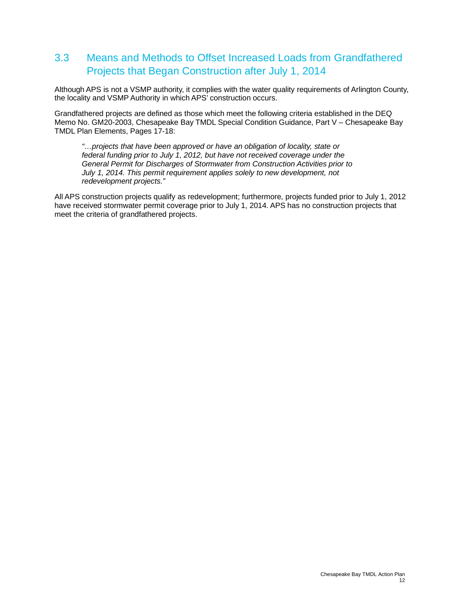### 3.3 Means and Methods to Offset Increased Loads from Grandfathered Projects that Began Construction after July 1, 2014

Although APS is not a VSMP authority, it complies with the water quality requirements of Arlington County, the locality and VSMP Authority in which APS' construction occurs.

Grandfathered projects are defined as those which meet the following criteria established in the DEQ Memo No. GM20-2003, Chesapeake Bay TMDL Special Condition Guidance, Part V – Chesapeake Bay TMDL Plan Elements, Pages 17-18:

*"…projects that have been approved or have an obligation of locality, state or federal funding prior to July 1, 2012, but have not received coverage under the General Permit for Discharges of Stormwater from Construction Activities prior to July 1, 2014. This permit requirement applies solely to new development, not redevelopment projects."*

All APS construction projects qualify as redevelopment; furthermore, projects funded prior to July 1, 2012 have received stormwater permit coverage prior to July 1, 2014. APS has no construction projects that meet the criteria of grandfathered projects.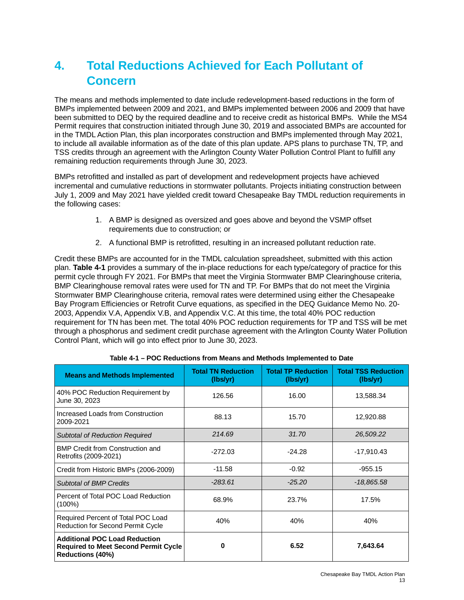## **4. Total Reductions Achieved for Each Pollutant of Concern**

The means and methods implemented to date include redevelopment-based reductions in the form of BMPs implemented between 2009 and 2021, and BMPs implemented between 2006 and 2009 that have been submitted to DEQ by the required deadline and to receive credit as historical BMPs. While the MS4 Permit requires that construction initiated through June 30, 2019 and associated BMPs are accounted for in the TMDL Action Plan, this plan incorporates construction and BMPs implemented through May 2021, to include all available information as of the date of this plan update. APS plans to purchase TN, TP, and TSS credits through an agreement with the Arlington County Water Pollution Control Plant to fulfill any remaining reduction requirements through June 30, 2023.

BMPs retrofitted and installed as part of development and redevelopment projects have achieved incremental and cumulative reductions in stormwater pollutants. Projects initiating construction between July 1, 2009 and May 2021 have yielded credit toward Chesapeake Bay TMDL reduction requirements in the following cases:

- 1. A BMP is designed as oversized and goes above and beyond the VSMP offset requirements due to construction; or
- 2. A functional BMP is retrofitted, resulting in an increased pollutant reduction rate.

Credit these BMPs are accounted for in the TMDL calculation spreadsheet, submitted with this action plan. **Table 4-1** provides a summary of the in-place reductions for each type/category of practice for this permit cycle through FY 2021. For BMPs that meet the Virginia Stormwater BMP Clearinghouse criteria, BMP Clearinghouse removal rates were used for TN and TP. For BMPs that do not meet the Virginia Stormwater BMP Clearinghouse criteria, removal rates were determined using either the Chesapeake Bay Program Efficiencies or Retrofit Curve equations, as specified in the DEQ Guidance Memo No. 20- 2003, Appendix V.A, Appendix V.B, and Appendix V.C. At this time, the total 40% POC reduction requirement for TN has been met. The total 40% POC reduction requirements for TP and TSS will be met through a phosphorus and sediment credit purchase agreement with the Arlington County Water Pollution Control Plant, which will go into effect prior to June 30, 2023.

| <b>Means and Methods Implemented</b>                                                                    | <b>Total TN Reduction</b><br>(lbs/yr) | <b>Total TP Reduction</b><br>(lbs/yr) | <b>Total TSS Reduction</b><br>(lbs/yr) |
|---------------------------------------------------------------------------------------------------------|---------------------------------------|---------------------------------------|----------------------------------------|
| 40% POC Reduction Requirement by<br>June 30, 2023                                                       | 126.56                                | 16.00                                 | 13,588.34                              |
| Increased Loads from Construction<br>2009-2021                                                          | 88.13                                 | 15.70                                 | 12,920.88                              |
| Subtotal of Reduction Required                                                                          | 214.69                                | 31.70                                 | 26,509.22                              |
| <b>BMP Credit from Construction and</b><br>Retrofits (2009-2021)                                        | $-272.03$                             | $-24.28$                              | $-17,910.43$                           |
| Credit from Historic BMPs (2006-2009)                                                                   | $-11.58$                              | $-0.92$                               | $-955.15$                              |
| <b>Subtotal of BMP Credits</b>                                                                          | $-283.61$                             | $-25.20$                              | -18,865.58                             |
| Percent of Total POC Load Reduction<br>$(100\%)$                                                        | 68.9%                                 | 23.7%                                 | 17.5%                                  |
| Required Percent of Total POC Load<br><b>Reduction for Second Permit Cycle</b>                          | 40%                                   | 40%                                   | 40%                                    |
| <b>Additional POC Load Reduction</b><br><b>Required to Meet Second Permit Cycle</b><br>Reductions (40%) | 0                                     | 6.52                                  | 7,643.64                               |

**Table 4-1 – POC Reductions from Means and Methods Implemented to Date**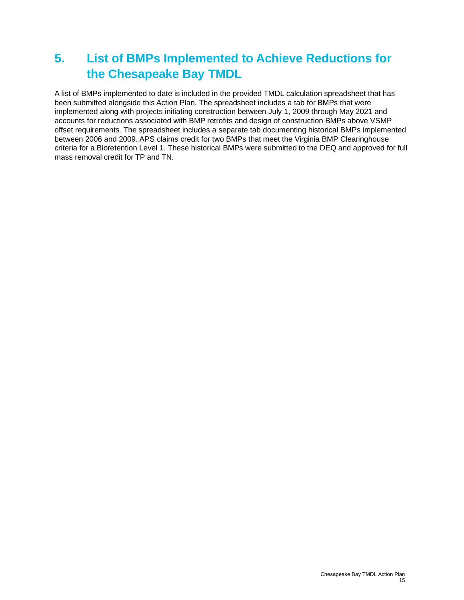## **5. List of BMPs Implemented to Achieve Reductions for the Chesapeake Bay TMDL**

A list of BMPs implemented to date is included in the provided TMDL calculation spreadsheet that has been submitted alongside this Action Plan. The spreadsheet includes a tab for BMPs that were implemented along with projects initiating construction between July 1, 2009 through May 2021 and accounts for reductions associated with BMP retrofits and design of construction BMPs above VSMP offset requirements. The spreadsheet includes a separate tab documenting historical BMPs implemented between 2006 and 2009. APS claims credit for two BMPs that meet the Virginia BMP Clearinghouse criteria for a Bioretention Level 1. These historical BMPs were submitted to the DEQ and approved for full mass removal credit for TP and TN.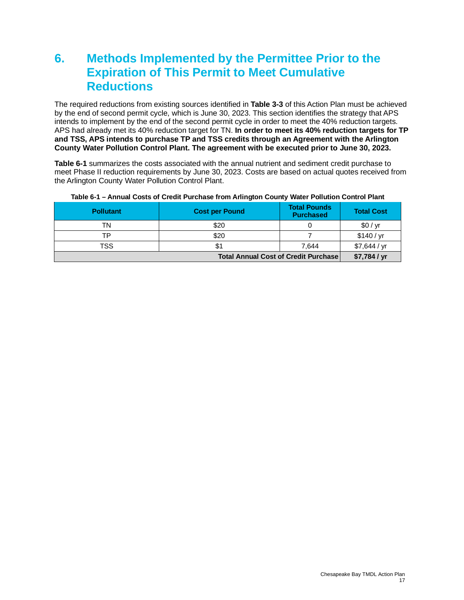## **6. Methods Implemented by the Permittee Prior to the Expiration of This Permit to Meet Cumulative Reductions**

The required reductions from existing sources identified in **Table 3-3** of this Action Plan must be achieved by the end of second permit cycle, which is June 30, 2023. This section identifies the strategy that APS intends to implement by the end of the second permit cycle in order to meet the 40% reduction targets. APS had already met its 40% reduction target for TN. **In order to meet its 40% reduction targets for TP and TSS, APS intends to purchase TP and TSS credits through an Agreement with the Arlington County Water Pollution Control Plant. The agreement with be executed prior to June 30, 2023.**

**Table 6-1** summarizes the costs associated with the annual nutrient and sediment credit purchase to meet Phase II reduction requirements by June 30, 2023. Costs are based on actual quotes received from the Arlington County Water Pollution Control Plant.

| <b>Pollutant</b> | <b>Cost per Pound</b>                                       | <b>Total Pounds</b><br><b>Purchased</b> | <b>Total Cost</b> |
|------------------|-------------------------------------------------------------|-----------------------------------------|-------------------|
| TN               | \$20                                                        |                                         | \$0 / yr          |
| TP               | \$20                                                        |                                         | \$140 / yr        |
| <b>TSS</b>       |                                                             | 7.644                                   | \$7,644 / yr      |
|                  | <b>Total Annual Cost of Credit Purchase</b><br>\$7,784 / yr |                                         |                   |

#### **Table 6-1 – Annual Costs of Credit Purchase from Arlington County Water Pollution Control Plant**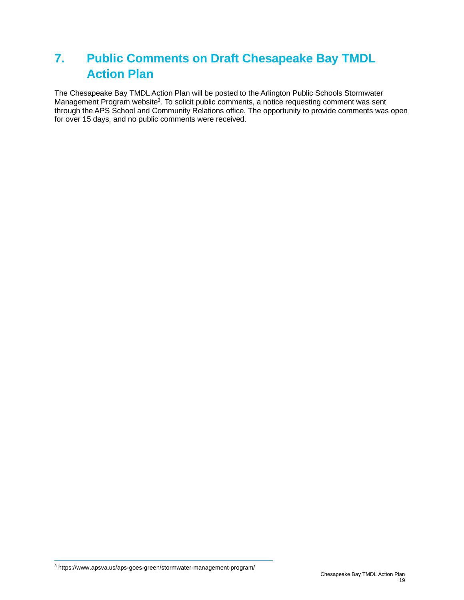## **7. Public Comments on Draft Chesapeake Bay TMDL Action Plan**

The Chesapeake Bay TMDL Action Plan will be posted to the Arlington Public Schools Stormwater Management Program website<sup>3</sup>. To solicit public comments, a notice requesting comment was sent through the APS School and Community Relations office. The opportunity to provide comments was open for over 15 days, and no public comments were received.

3 https://www.apsva.us/aps-goes-green/stormwater-management-program/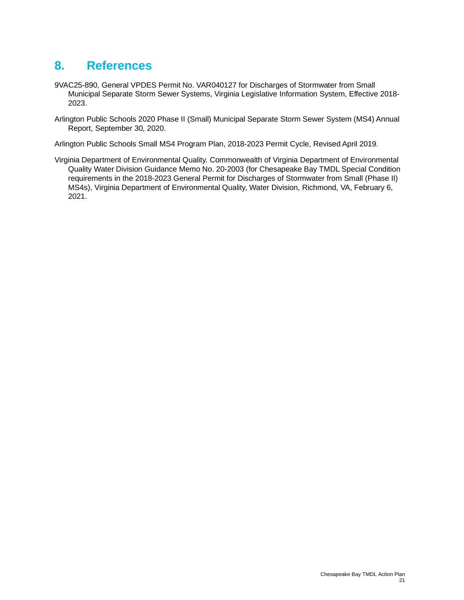## **8. References**

- 9VAC25-890, General VPDES Permit No. VAR040127 for Discharges of Stormwater from Small Municipal Separate Storm Sewer Systems, Virginia Legislative Information System, Effective 2018- 2023.
- Arlington Public Schools 2020 Phase II (Small) Municipal Separate Storm Sewer System (MS4) Annual Report, September 30, 2020.

Arlington Public Schools Small MS4 Program Plan, 2018-2023 Permit Cycle, Revised April 2019.

Virginia Department of Environmental Quality. Commonwealth of Virginia Department of Environmental Quality Water Division Guidance Memo No. 20-2003 (for Chesapeake Bay TMDL Special Condition requirements in the 2018-2023 General Permit for Discharges of Stormwater from Small (Phase II) MS4s), Virginia Department of Environmental Quality, Water Division, Richmond, VA, February 6, 2021.